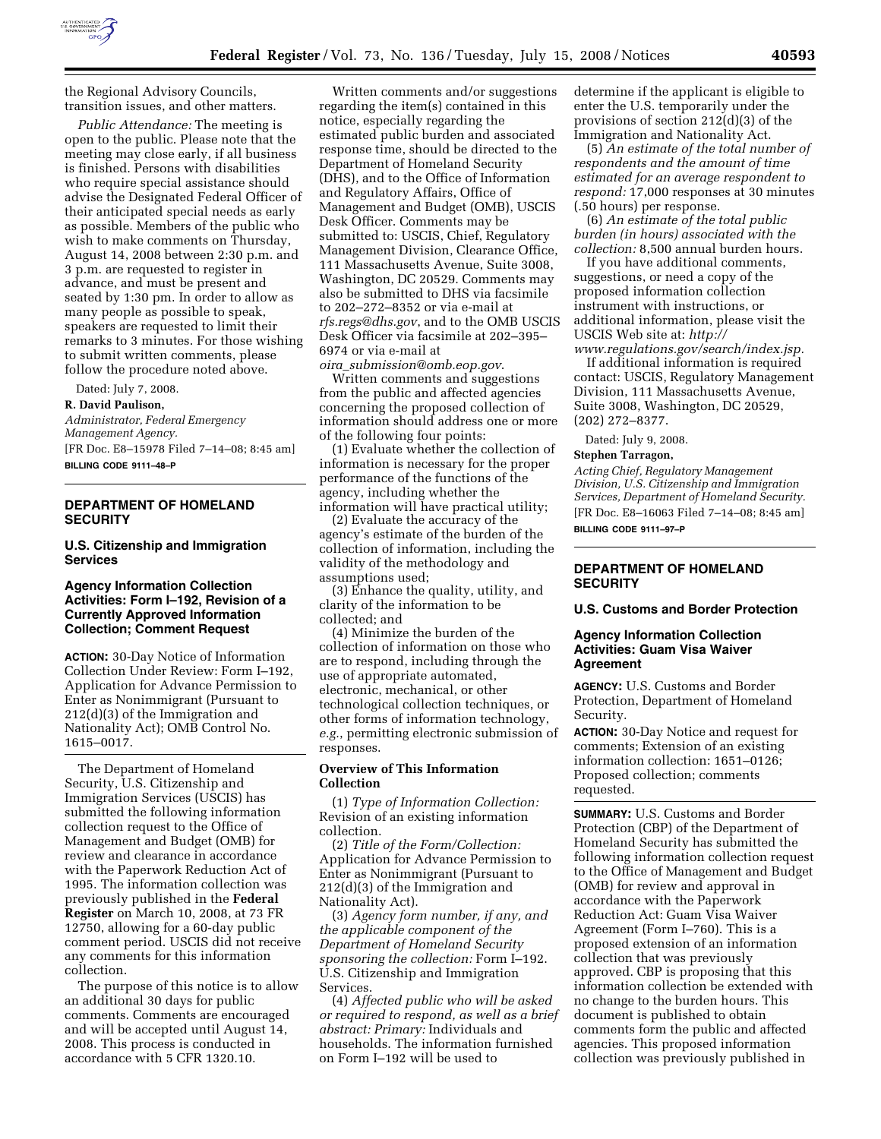

the Regional Advisory Councils, transition issues, and other matters.

*Public Attendance:* The meeting is open to the public. Please note that the meeting may close early, if all business is finished. Persons with disabilities who require special assistance should advise the Designated Federal Officer of their anticipated special needs as early as possible. Members of the public who wish to make comments on Thursday, August 14, 2008 between 2:30 p.m. and 3 p.m. are requested to register in advance, and must be present and seated by 1:30 pm. In order to allow as many people as possible to speak, speakers are requested to limit their remarks to 3 minutes. For those wishing to submit written comments, please follow the procedure noted above.

Dated: July 7, 2008.

#### **R. David Paulison,**

*Administrator, Federal Emergency Management Agency.*  [FR Doc. E8–15978 Filed 7–14–08; 8:45 am]

**BILLING CODE 9111–48–P** 

## **DEPARTMENT OF HOMELAND SECURITY**

**U.S. Citizenship and Immigration Services** 

## **Agency Information Collection Activities: Form I–192, Revision of a Currently Approved Information Collection; Comment Request**

**ACTION:** 30-Day Notice of Information Collection Under Review: Form I–192, Application for Advance Permission to Enter as Nonimmigrant (Pursuant to 212(d)(3) of the Immigration and Nationality Act); OMB Control No. 1615–0017.

The Department of Homeland Security, U.S. Citizenship and Immigration Services (USCIS) has submitted the following information collection request to the Office of Management and Budget (OMB) for review and clearance in accordance with the Paperwork Reduction Act of 1995. The information collection was previously published in the **Federal Register** on March 10, 2008, at 73 FR 12750, allowing for a 60-day public comment period. USCIS did not receive any comments for this information collection.

The purpose of this notice is to allow an additional 30 days for public comments. Comments are encouraged and will be accepted until August 14, 2008. This process is conducted in accordance with 5 CFR 1320.10.

Written comments and/or suggestions regarding the item(s) contained in this notice, especially regarding the estimated public burden and associated response time, should be directed to the Department of Homeland Security (DHS), and to the Office of Information and Regulatory Affairs, Office of Management and Budget (OMB), USCIS Desk Officer. Comments may be submitted to: USCIS, Chief, Regulatory Management Division, Clearance Office, 111 Massachusetts Avenue, Suite 3008, Washington, DC 20529. Comments may also be submitted to DHS via facsimile to 202–272–8352 or via e-mail at *rfs.regs@dhs.gov*, and to the OMB USCIS Desk Officer via facsimile at 202–395– 6974 or via e-mail at

*oira*\_*submission@omb.eop.gov*. Written comments and suggestions from the public and affected agencies concerning the proposed collection of information should address one or more of the following four points:

(1) Evaluate whether the collection of information is necessary for the proper performance of the functions of the agency, including whether the information will have practical utility;

(2) Evaluate the accuracy of the agency's estimate of the burden of the collection of information, including the validity of the methodology and assumptions used;

(3) Enhance the quality, utility, and clarity of the information to be collected; and

(4) Minimize the burden of the collection of information on those who are to respond, including through the use of appropriate automated, electronic, mechanical, or other technological collection techniques, or other forms of information technology, *e.g.*, permitting electronic submission of responses.

## **Overview of This Information Collection**

(1) *Type of Information Collection:*  Revision of an existing information collection.

(2) *Title of the Form/Collection:*  Application for Advance Permission to Enter as Nonimmigrant (Pursuant to 212(d)(3) of the Immigration and Nationality Act).

(3) *Agency form number, if any, and the applicable component of the Department of Homeland Security sponsoring the collection:* Form I–192. U.S. Citizenship and Immigration Services.

(4) *Affected public who will be asked or required to respond, as well as a brief abstract: Primary:* Individuals and households. The information furnished on Form I–192 will be used to

determine if the applicant is eligible to enter the U.S. temporarily under the provisions of section 212(d)(3) of the Immigration and Nationality Act.

(5) *An estimate of the total number of respondents and the amount of time estimated for an average respondent to respond:* 17,000 responses at 30 minutes (.50 hours) per response.

(6) *An estimate of the total public burden (in hours) associated with the collection:* 8,500 annual burden hours.

If you have additional comments, suggestions, or need a copy of the proposed information collection instrument with instructions, or additional information, please visit the USCIS Web site at: *http://* 

*www.regulations.gov/search/index.jsp.*  If additional information is required contact: USCIS, Regulatory Management Division, 111 Massachusetts Avenue, Suite 3008, Washington, DC 20529, (202) 272–8377.

Dated: July 9, 2008.

#### **Stephen Tarragon,**

*Acting Chief, Regulatory Management Division, U.S. Citizenship and Immigration Services, Department of Homeland Security.*  [FR Doc. E8–16063 Filed 7–14–08; 8:45 am] **BILLING CODE 9111–97–P** 

## **DEPARTMENT OF HOMELAND SECURITY**

### **U.S. Customs and Border Protection**

### **Agency Information Collection Activities: Guam Visa Waiver Agreement**

**AGENCY:** U.S. Customs and Border Protection, Department of Homeland Security.

**ACTION:** 30-Day Notice and request for comments; Extension of an existing information collection: 1651–0126; Proposed collection; comments requested.

**SUMMARY:** U.S. Customs and Border Protection (CBP) of the Department of Homeland Security has submitted the following information collection request to the Office of Management and Budget (OMB) for review and approval in accordance with the Paperwork Reduction Act: Guam Visa Waiver Agreement (Form I–760). This is a proposed extension of an information collection that was previously approved. CBP is proposing that this information collection be extended with no change to the burden hours. This document is published to obtain comments form the public and affected agencies. This proposed information collection was previously published in